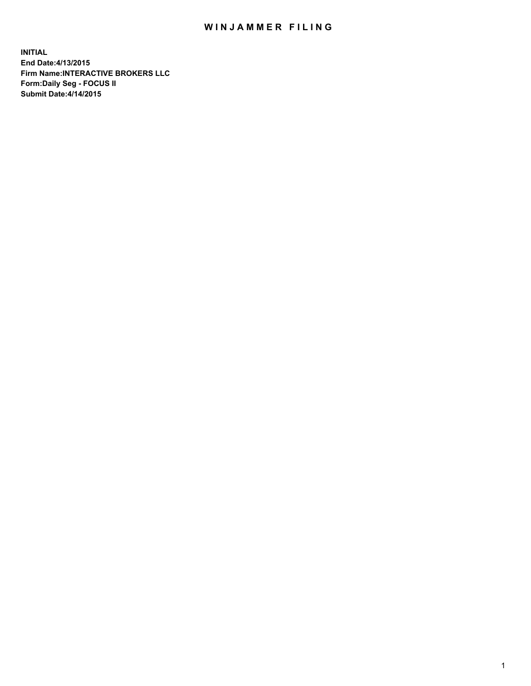## WIN JAMMER FILING

**INITIAL End Date:4/13/2015 Firm Name:INTERACTIVE BROKERS LLC Form:Daily Seg - FOCUS II Submit Date:4/14/2015**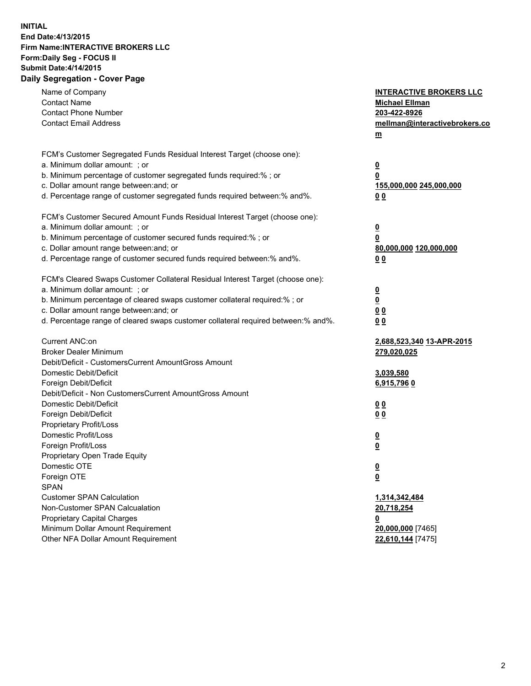## **INITIAL End Date:4/13/2015 Firm Name:INTERACTIVE BROKERS LLC Form:Daily Seg - FOCUS II Submit Date:4/14/2015 Daily Segregation - Cover Page**

| Name of Company<br><b>Contact Name</b><br><b>Contact Phone Number</b><br><b>Contact Email Address</b>                                                                                                                                                                                                                          | <b>INTERACTIVE BROKERS LLC</b><br><b>Michael Ellman</b><br>203-422-8926<br>mellman@interactivebrokers.co<br>m |
|--------------------------------------------------------------------------------------------------------------------------------------------------------------------------------------------------------------------------------------------------------------------------------------------------------------------------------|---------------------------------------------------------------------------------------------------------------|
| FCM's Customer Segregated Funds Residual Interest Target (choose one):<br>a. Minimum dollar amount: ; or<br>b. Minimum percentage of customer segregated funds required:% ; or<br>c. Dollar amount range between: and; or<br>d. Percentage range of customer segregated funds required between:% and%.                         | $\overline{\mathbf{0}}$<br>0<br>155,000,000 245,000,000<br>00                                                 |
| FCM's Customer Secured Amount Funds Residual Interest Target (choose one):<br>a. Minimum dollar amount: ; or<br>b. Minimum percentage of customer secured funds required:% ; or<br>c. Dollar amount range between: and; or<br>d. Percentage range of customer secured funds required between:% and%.                           | $\overline{\mathbf{0}}$<br>0<br>80,000,000 120,000,000<br>0 <sub>0</sub>                                      |
| FCM's Cleared Swaps Customer Collateral Residual Interest Target (choose one):<br>a. Minimum dollar amount: ; or<br>b. Minimum percentage of cleared swaps customer collateral required:% ; or<br>c. Dollar amount range between: and; or<br>d. Percentage range of cleared swaps customer collateral required between:% and%. | $\overline{\mathbf{0}}$<br><u>0</u><br>0 <sub>0</sub><br>0 <sub>0</sub>                                       |
| Current ANC:on<br><b>Broker Dealer Minimum</b><br>Debit/Deficit - CustomersCurrent AmountGross Amount<br>Domestic Debit/Deficit<br>Foreign Debit/Deficit                                                                                                                                                                       | 2,688,523,340 13-APR-2015<br>279,020,025<br>3,039,580<br>6,915,7960                                           |
| Debit/Deficit - Non CustomersCurrent AmountGross Amount<br>Domestic Debit/Deficit<br>Foreign Debit/Deficit<br>Proprietary Profit/Loss<br>Domestic Profit/Loss<br>Foreign Profit/Loss                                                                                                                                           | 0 <sub>0</sub><br>0 <sub>0</sub><br>$\overline{\mathbf{0}}$<br>$\overline{\mathbf{0}}$                        |
| Proprietary Open Trade Equity<br>Domestic OTE<br>Foreign OTE<br><b>SPAN</b><br><b>Customer SPAN Calculation</b>                                                                                                                                                                                                                | $\overline{\mathbf{0}}$<br><u>0</u><br>1,314,342,484                                                          |
| Non-Customer SPAN Calcualation<br><b>Proprietary Capital Charges</b><br>Minimum Dollar Amount Requirement<br>Other NFA Dollar Amount Requirement                                                                                                                                                                               | 20,718,254<br><u>0</u><br>20,000,000 [7465]<br>22,610,144 [7475]                                              |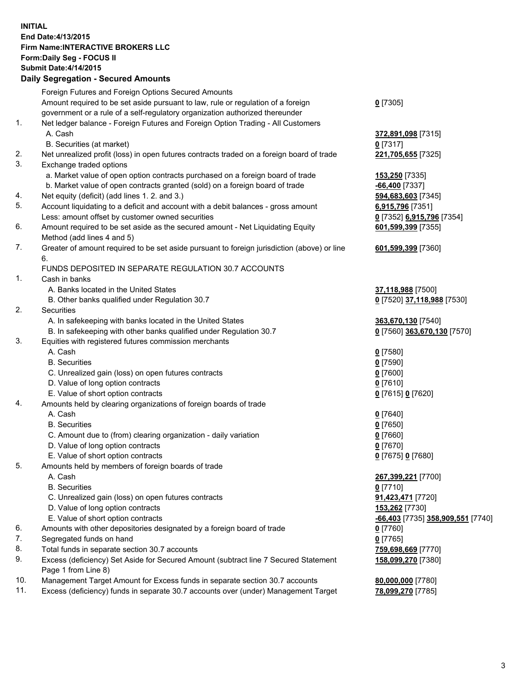## **INITIAL End Date:4/13/2015 Firm Name:INTERACTIVE BROKERS LLC Form:Daily Seg - FOCUS II Submit Date:4/14/2015 Daily Segregation - Secured Amounts**

|     | Daily Ocglegation - Occarea Anioants                                                        |                                   |
|-----|---------------------------------------------------------------------------------------------|-----------------------------------|
|     | Foreign Futures and Foreign Options Secured Amounts                                         |                                   |
|     | Amount required to be set aside pursuant to law, rule or regulation of a foreign            | $0$ [7305]                        |
|     | government or a rule of a self-regulatory organization authorized thereunder                |                                   |
| 1.  | Net ledger balance - Foreign Futures and Foreign Option Trading - All Customers             |                                   |
|     | A. Cash                                                                                     | 372,891,098 [7315]                |
|     | B. Securities (at market)                                                                   | $0$ [7317]                        |
| 2.  | Net unrealized profit (loss) in open futures contracts traded on a foreign board of trade   | 221,705,655 [7325]                |
| 3.  | Exchange traded options                                                                     |                                   |
|     | a. Market value of open option contracts purchased on a foreign board of trade              | 153,250 [7335]                    |
|     | b. Market value of open contracts granted (sold) on a foreign board of trade                | -66,400 <sup>[7337]</sup>         |
| 4.  | Net equity (deficit) (add lines 1.2. and 3.)                                                | 594,683,603 [7345]                |
| 5.  | Account liquidating to a deficit and account with a debit balances - gross amount           | 6,915,796 [7351]                  |
|     | Less: amount offset by customer owned securities                                            | 0 [7352] 6,915,796 [7354]         |
| 6.  | Amount required to be set aside as the secured amount - Net Liquidating Equity              | 601,599,399 [7355]                |
|     | Method (add lines 4 and 5)                                                                  |                                   |
| 7.  | Greater of amount required to be set aside pursuant to foreign jurisdiction (above) or line | 601,599,399 [7360]                |
|     | 6.                                                                                          |                                   |
|     | FUNDS DEPOSITED IN SEPARATE REGULATION 30.7 ACCOUNTS                                        |                                   |
| 1.  | Cash in banks                                                                               |                                   |
|     | A. Banks located in the United States                                                       | 37,118,988 [7500]                 |
|     | B. Other banks qualified under Regulation 30.7                                              | 0 [7520] 37,118,988 [7530]        |
| 2.  | <b>Securities</b>                                                                           |                                   |
|     | A. In safekeeping with banks located in the United States                                   | 363,670,130 [7540]                |
|     | B. In safekeeping with other banks qualified under Regulation 30.7                          | 0 [7560] 363,670,130 [7570]       |
| 3.  | Equities with registered futures commission merchants                                       |                                   |
|     | A. Cash                                                                                     | $0$ [7580]                        |
|     | <b>B.</b> Securities                                                                        | $0$ [7590]                        |
|     | C. Unrealized gain (loss) on open futures contracts                                         | $0$ [7600]                        |
|     | D. Value of long option contracts                                                           | $0$ [7610]                        |
|     | E. Value of short option contracts                                                          | 0 [7615] 0 [7620]                 |
| 4.  | Amounts held by clearing organizations of foreign boards of trade                           |                                   |
|     | A. Cash                                                                                     | $0$ [7640]                        |
|     | <b>B.</b> Securities                                                                        | $0$ [7650]                        |
|     | C. Amount due to (from) clearing organization - daily variation                             | $0$ [7660]                        |
|     | D. Value of long option contracts                                                           | $0$ [7670]                        |
|     | E. Value of short option contracts                                                          | 0 [7675] 0 [7680]                 |
| 5.  | Amounts held by members of foreign boards of trade                                          |                                   |
|     | A. Cash                                                                                     | 267,399,221 [7700]                |
|     | <b>B.</b> Securities                                                                        | $0$ [7710]                        |
|     | C. Unrealized gain (loss) on open futures contracts                                         | 91,423,471 [7720]                 |
|     | D. Value of long option contracts                                                           | 153,262 [7730]                    |
|     | E. Value of short option contracts                                                          | -66,403 [7735] 358,909,551 [7740] |
| 6.  | Amounts with other depositories designated by a foreign board of trade                      | 0 [7760]                          |
| 7.  | Segregated funds on hand                                                                    | $0$ [7765]                        |
| 8.  | Total funds in separate section 30.7 accounts                                               | 759,698,669 [7770]                |
| 9.  | Excess (deficiency) Set Aside for Secured Amount (subtract line 7 Secured Statement         | 158,099,270 [7380]                |
|     | Page 1 from Line 8)                                                                         |                                   |
| 10. | Management Target Amount for Excess funds in separate section 30.7 accounts                 | 80,000,000 [7780]                 |
| 11. | Excess (deficiency) funds in separate 30.7 accounts over (under) Management Target          | 78,099,270 [7785]                 |
|     |                                                                                             |                                   |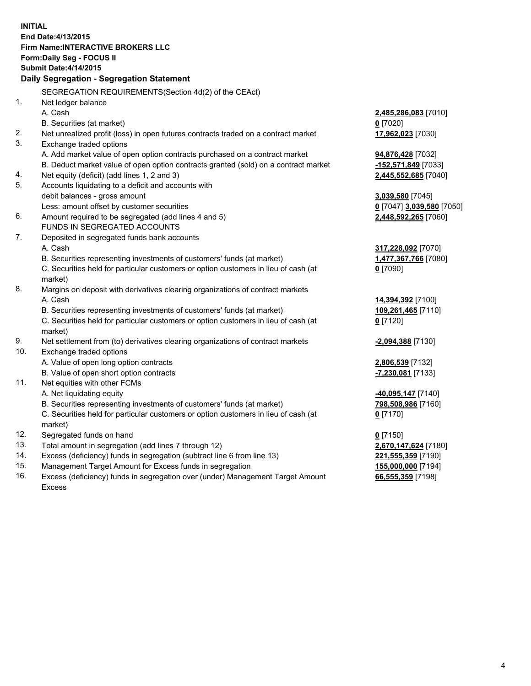**INITIAL End Date:4/13/2015 Firm Name:INTERACTIVE BROKERS LLC Form:Daily Seg - FOCUS II Submit Date:4/14/2015 Daily Segregation - Segregation Statement** SEGREGATION REQUIREMENTS(Section 4d(2) of the CEAct) 1. Net ledger balance A. Cash **2,485,286,083** [7010] B. Securities (at market) **0** [7020] 2. Net unrealized profit (loss) in open futures contracts traded on a contract market **17,962,023** [7030] 3. Exchange traded options A. Add market value of open option contracts purchased on a contract market **94,876,428** [7032] B. Deduct market value of open option contracts granted (sold) on a contract market **-152,571,849** [7033] 4. Net equity (deficit) (add lines 1, 2 and 3) **2,445,552,685** [7040] 5. Accounts liquidating to a deficit and accounts with debit balances - gross amount **3,039,580** [7045] Less: amount offset by customer securities **0** [7047] **3,039,580** [7050] 6. Amount required to be segregated (add lines 4 and 5) **2,448,592,265** [7060] FUNDS IN SEGREGATED ACCOUNTS 7. Deposited in segregated funds bank accounts A. Cash **317,228,092** [7070] B. Securities representing investments of customers' funds (at market) **1,477,367,766** [7080] C. Securities held for particular customers or option customers in lieu of cash (at market) **0** [7090] 8. Margins on deposit with derivatives clearing organizations of contract markets A. Cash **14,394,392** [7100] B. Securities representing investments of customers' funds (at market) **109,261,465** [7110] C. Securities held for particular customers or option customers in lieu of cash (at market) **0** [7120] 9. Net settlement from (to) derivatives clearing organizations of contract markets **-2,094,388** [7130] 10. Exchange traded options A. Value of open long option contracts **2,806,539** [7132] B. Value of open short option contracts **-7,230,081** [7133] 11. Net equities with other FCMs A. Net liquidating equity **-40,095,147** [7140] B. Securities representing investments of customers' funds (at market) **798,508,986** [7160] C. Securities held for particular customers or option customers in lieu of cash (at market) **0** [7170] 12. Segregated funds on hand **0** [7150] 13. Total amount in segregation (add lines 7 through 12) **2,670,147,624** [7180] 14. Excess (deficiency) funds in segregation (subtract line 6 from line 13) **221,555,359** [7190] 15. Management Target Amount for Excess funds in segregation **155,000,000** [7194]

16. Excess (deficiency) funds in segregation over (under) Management Target Amount Excess

**66,555,359** [7198]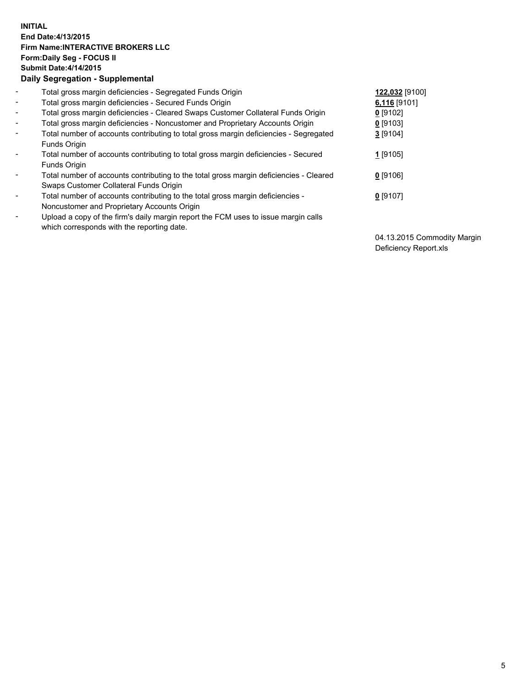## **INITIAL End Date:4/13/2015 Firm Name:INTERACTIVE BROKERS LLC Form:Daily Seg - FOCUS II Submit Date:4/14/2015 Daily Segregation - Supplemental**

| $\blacksquare$           | Total gross margin deficiencies - Segregated Funds Origin                                                                        | 122,032 [9100] |
|--------------------------|----------------------------------------------------------------------------------------------------------------------------------|----------------|
| $\blacksquare$           | Total gross margin deficiencies - Secured Funds Origin                                                                           | $6,116$ [9101] |
| $\blacksquare$           | Total gross margin deficiencies - Cleared Swaps Customer Collateral Funds Origin                                                 | $0$ [9102]     |
| $\blacksquare$           | Total gross margin deficiencies - Noncustomer and Proprietary Accounts Origin                                                    | $0$ [9103]     |
| $\blacksquare$           | Total number of accounts contributing to total gross margin deficiencies - Segregated<br>Funds Origin                            | 3[9104]        |
| $\blacksquare$           | Total number of accounts contributing to total gross margin deficiencies - Secured<br><b>Funds Origin</b>                        | 1 [9105]       |
| $\overline{\phantom{a}}$ | Total number of accounts contributing to the total gross margin deficiencies - Cleared<br>Swaps Customer Collateral Funds Origin | $0$ [9106]     |
| -                        | Total number of accounts contributing to the total gross margin deficiencies -<br>Noncustomer and Proprietary Accounts Origin    | $0$ [9107]     |
| $\blacksquare$           | Upload a copy of the firm's daily margin report the FCM uses to issue margin calls<br>which corresponds with the reporting date. |                |

04.13.2015 Commodity Margin Deficiency Report.xls